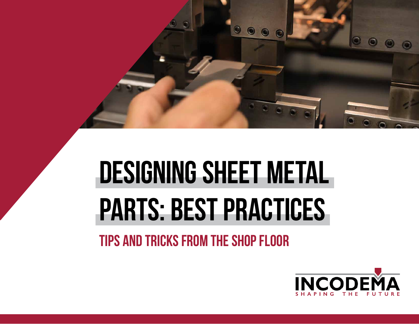

# **DESIGNING SHEET METAL PARTS: BEST PRACTICES**

**TIPS AND TRICKS FROM THE SHOP FLOOR**

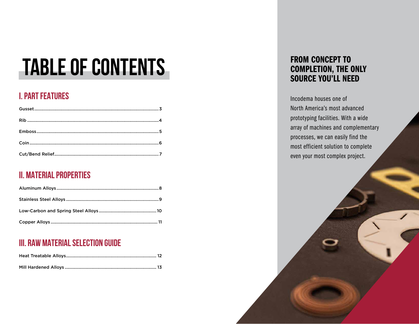#### TABLE OF CONTENTS FROM CONCEPT TO

#### **I. PART FEATURES**

#### **II. MATERIAL PROPERTIES**

#### **III. RAW MATERIAL SELECTION GUIDE**

#### COMPLETION, THE ONLY SOURCE YOU'LL NEED

Incodema houses one of North America's most advanced prototyping facilities. With a wide array of machines and complementary processes, we can easily find the most efficient solution to complete even your most complex project.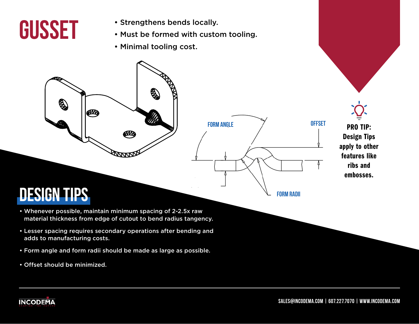### **GUSSET**

- Strengthens bends locally.
- Must be formed with custom tooling.

**FORM ANGLE**

• Minimal tooling cost.

**DESIGN TIPS**

Q

ØD

• Whenever possible, maintain minimum spacing of 2-2.5x raw material thickness from edge of cutout to bend radius tangency.

ØЩ

- Lesser spacing requires secondary operations after bending and adds to manufacturing costs.
- Form angle and form radii should be made as large as possible.
- Offset should be minimized.

PRO TIP: Design Tips apply to other features like ribs and embosses.

**OFFSET**

**FORM RADII**

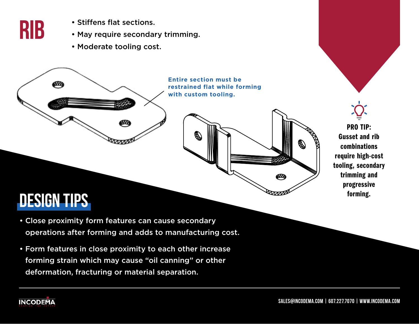

- Stiffens flat sections.
- May require secondary trimming.
- Moderate tooling cost.

#### **Entire section must be restrained flat while forming with custom tooling.**



**DESIGN TIPS**

**INCODEMA** 

m

- Close proximity form features can cause secondary operations after forming and adds to manufacturing cost.
- Form features in close proximity to each other increase forming strain which may cause "oil canning" or other deformation, fracturing or material separation.



#### **sales@incodema.com | 607.227.7070 | www.incodema.com**

ØŊ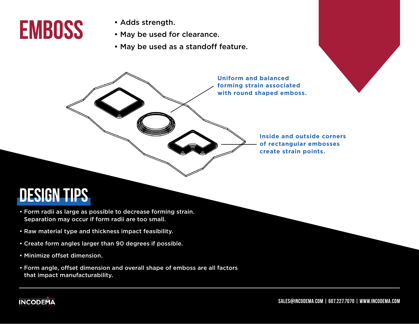### **EMBOSS**

- Adds strength.
- May be used for clearance.
- May be used as a standoff feature.

**Uniform and balanced forming strain associated with round shaped emboss.**

> **Inside and outside corners of rectangular embosses create strain points.**

#### **DESIGN TIPS**

- Form radii as large as possible to decrease forming strain. Separation may occur if form radii are too small.
- Raw material type and thickness impact feasibility.
- Create form angles larger than 90 degrees if possible.
- Minimize offset dimension.
- Form angle, offset dimension and overall shape of emboss are all factors that impact manufacturability.

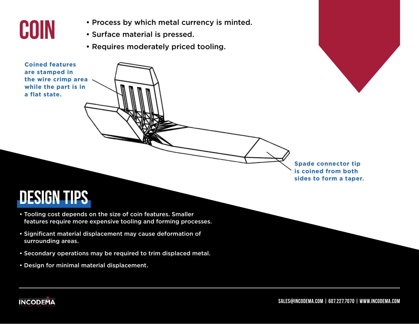

- Process by which metal currency is minted.
- Surface material is pressed.
- Requires moderately priced tooling.

**Coined features are stamped in the wire crimp area while the part is in a flat state.**

> **Spade connector tip is coined from both sides to form a taper.**

#### **DESIGN TIPS**

- Tooling cost depends on the size of coin features. Smaller features require more expensive tooling and forming processes.
- Significant material displacement may cause deformation of surrounding areas.
- Secondary operations may be required to trim displaced metal.
- Design for minimal material displacement.

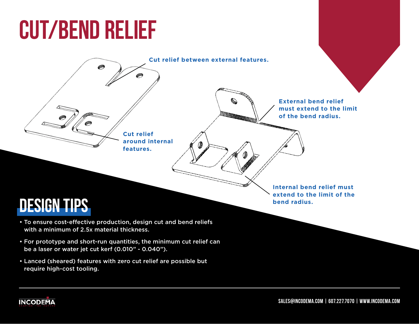## **CUT/BEND RELIEF**



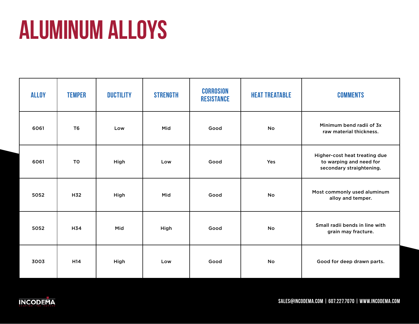# **ALUMINUM ALLOYS**

| <b>ALLOY</b> | <b>TEMPER</b>   | <b>DUCTILITY</b> | <b>STRENGTH</b> | <b>CORROSION</b><br><b>RESISTANCE</b> | <b>HEAT TREATABLE</b> | <b>COMMENTS</b>                                                                      |
|--------------|-----------------|------------------|-----------------|---------------------------------------|-----------------------|--------------------------------------------------------------------------------------|
| 6061         | T <sub>6</sub>  | Low              | Mid             | Good                                  | No                    | Minimum bend radii of 3x<br>raw material thickness.                                  |
| 6061         | <b>TO</b>       | High             | Low             | Good                                  | Yes                   | Higher-cost heat treating due<br>to warping and need for<br>secondary straightening. |
| 5052         | H32             | High             | Mid             | Good                                  | <b>No</b>             | Most commonly used aluminum<br>alloy and temper.                                     |
| 5052         | H34             | Mid              | High            | Good                                  | No                    | Small radii bends in line with<br>grain may fracture.                                |
| 3003         | H <sub>14</sub> | High             | Low             | Good                                  | <b>No</b>             | Good for deep drawn parts.                                                           |

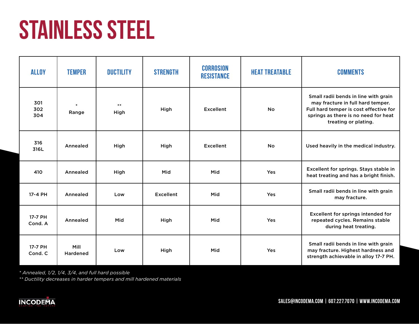# **STAINLESS STEEL**

| <b>ALLOY</b>       | <b>TEMPER</b>           | <b>DUCTILITY</b> | <b>STRENGTH</b> | <b>CORROSION</b><br><b>RESISTANCE</b> | <b>HEAT TREATABLE</b> | <b>COMMENTS</b>                                                                                                                                                                     |
|--------------------|-------------------------|------------------|-----------------|---------------------------------------|-----------------------|-------------------------------------------------------------------------------------------------------------------------------------------------------------------------------------|
| 301<br>302<br>304  | $\ast$<br>Range         | $***$<br>High    | High            | <b>Excellent</b>                      | <b>No</b>             | Small radii bends in line with grain<br>may fracture in full hard temper.<br>Full hard temper is cost effective for<br>springs as there is no need for heat<br>treating or plating. |
| 316<br>316L        | Annealed                | High             | High            | <b>Excellent</b>                      | <b>No</b>             | Used heavily in the medical industry.                                                                                                                                               |
| 410                | Annealed                | High             | Mid             | Mid                                   | Yes                   | Excellent for springs. Stays stable in<br>heat treating and has a bright finish.                                                                                                    |
| 17-4 PH            | Annealed                | Low              | Excellent       | Mid                                   | Yes                   | Small radii bends in line with grain<br>may fracture.                                                                                                                               |
| 17-7 PH<br>Cond. A | Annealed                | Mid              | High            | Mid                                   | Yes                   | Excellent for springs intended for<br>repeated cycles. Remains stable<br>during heat treating.                                                                                      |
| 17-7 PH<br>Cond. C | Mill<br><b>Hardened</b> | Low              | High            | Mid                                   | Yes                   | Small radii bends in line with grain<br>may fracture. Highest hardness and<br>strength achievable in alloy 17-7 PH.                                                                 |

*\* Annealed, 1/2, 1/4, 3/4, and full hard possible*

*\*\* Ductility decreases in harder tempers and mill hardened materials*

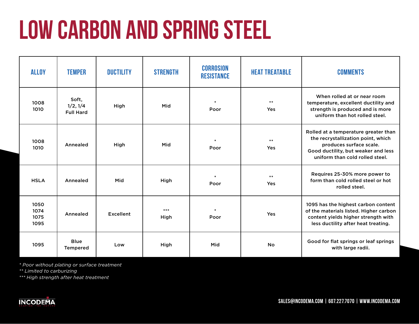# **LOW CARBON AND SPRING STEEL**

| <b>ALLOY</b>                 | <b>TEMPER</b>                         | <b>DUCTILITY</b> | <b>STRENGTH</b> | <b>CORROSION</b><br><b>RESISTANCE</b> | <b>HEAT TREATABLE</b> | <b>COMMENTS</b>                                                                                                                                                                 |
|------------------------------|---------------------------------------|------------------|-----------------|---------------------------------------|-----------------------|---------------------------------------------------------------------------------------------------------------------------------------------------------------------------------|
| 1008<br>1010                 | Soft,<br>1/2, 1/4<br><b>Full Hard</b> | High             | Mid             | $\ast$<br>Poor                        | $**$<br>Yes           | When rolled at or near room<br>temperature, excellent ductility and<br>strength is produced and is more<br>uniform than hot rolled steel.                                       |
| 1008<br>1010                 | Annealed                              | High             | Mid             | Poor                                  | $***$<br>Yes          | Rolled at a temperature greater than<br>the recrystallization point, which<br>produces surface scale.<br>Good ductility, but weaker and less<br>uniform than cold rolled steel. |
| <b>HSLA</b>                  | Annealed                              | Mid              | High            | Poor                                  | $**$<br>Yes           | Requires 25-30% more power to<br>form than cold rolled steel or hot<br>rolled steel.                                                                                            |
| 1050<br>1074<br>1075<br>1095 | Annealed                              | Excellent        | ***<br>High     | Poor                                  | Yes                   | 1095 has the highest carbon content<br>of the materials listed. Higher carbon<br>content yields higher strength with<br>less ductility after heat treating.                     |
| 1095                         | <b>Blue</b><br><b>Tempered</b>        | Low              | High            | Mid                                   | <b>No</b>             | Good for flat springs or leaf springs<br>with large radii.                                                                                                                      |

*\* Poor without plating or surface treatment*

*\*\* Limited to carburizing*

*\*\*\* High strength after heat treatment*

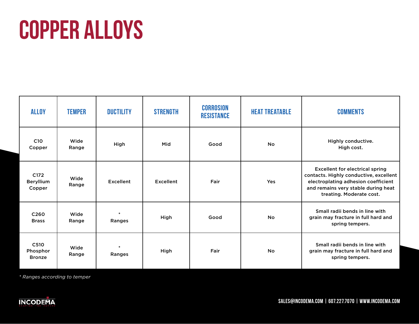# **COPPER ALLOYS**

| <b>ALLOY</b>                       | <b>TEMPER</b> | <b>DUCTILITY</b>        | <b>STRENGTH</b>  | <b>CORROSION</b><br><b>RESISTANCE</b> | <b>HEAT TREATABLE</b> | <b>COMMENTS</b>                                                                                                                                                                            |
|------------------------------------|---------------|-------------------------|------------------|---------------------------------------|-----------------------|--------------------------------------------------------------------------------------------------------------------------------------------------------------------------------------------|
| C <sub>10</sub><br>Copper          | Wide<br>Range | High                    | Mid              | Good                                  | <b>No</b>             | Highly conductive.<br>High cost.                                                                                                                                                           |
| C172<br><b>Beryllium</b><br>Copper | Wide<br>Range | Excellent               | <b>Excellent</b> | Fair                                  | Yes                   | <b>Excellent for electrical spring</b><br>contacts. Highly conductive, excellent<br>electroplating adhesion coefficient<br>and remains very stable during heat<br>treating. Moderate cost. |
| C <sub>260</sub><br><b>Brass</b>   | Wide<br>Range | $\ast$<br>Ranges        | High             | Good                                  | <b>No</b>             | Small radii bends in line with<br>grain may fracture in full hard and<br>spring tempers.                                                                                                   |
| C510<br>Phosphor<br><b>Bronze</b>  | Wide<br>Range | $\ast$<br><b>Ranges</b> | High             | Fair                                  | <b>No</b>             | Small radii bends in line with<br>grain may fracture in full hard and<br>spring tempers.                                                                                                   |

*\* Ranges according to temper*

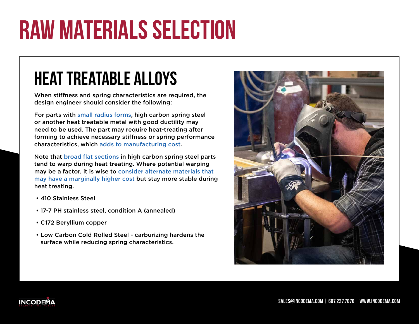# **RAW MATERIALS SELECTION**

#### **HEAT TREATABLE ALLOYS**

When stiffness and spring characteristics are required, the design engineer should consider the following:

For parts with small radius forms, high carbon spring steel or another heat treatable metal with good ductility may need to be used. The part may require heat-treating after forming to achieve necessary stiffness or spring performance characteristics, which adds to manufacturing cost.

Note that broad flat sections in high carbon spring steel parts tend to warp during heat treating. Where potential warping may be a factor, it is wise to consider alternate materials that may have a marginally higher cost but stay more stable during heat treating.

- 410 Stainless Steel
- 17-7 PH stainless steel, condition A (annealed)
- C172 Beryllium copper
- Low Carbon Cold Rolled Steel carburizing hardens the surface while reducing spring characteristics.



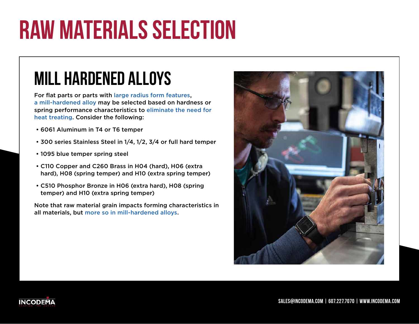# **RAW MATERIALS SELECTION**

#### **MILL HARDENED ALLOYS**

For flat parts or parts with large radius form features, a mill-hardened alloy may be selected based on hardness or spring performance characteristics to eliminate the need for heat treating. Consider the following:

- 6061 Aluminum in T4 or T6 temper
- 300 series Stainless Steel in 1/4, 1/2, 3/4 or full hard temper
- 1095 blue temper spring steel
- C110 Copper and C260 Brass in H04 (hard), H06 (extra hard), H08 (spring temper) and H10 (extra spring temper)
- C510 Phosphor Bronze in H06 (extra hard), H08 (spring temper) and H10 (extra spring temper)

Note that raw material grain impacts forming characteristics in all materials, but more so in mill-hardened alloys.